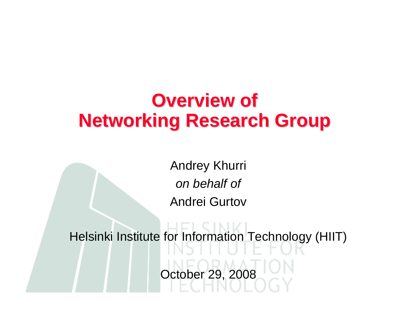### **Overview of Networking Research Group**

Andrey Khurri *on behalf of* Andrei Gurtov

Helsinki Institute for Information Technology (HIIT) October 29, 2008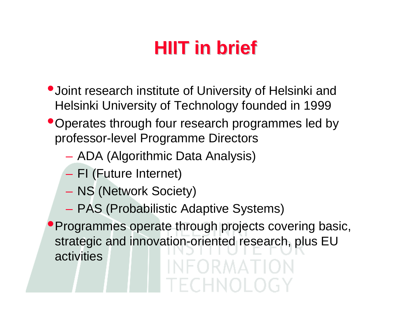# **HIIT in brief HIIT in brief**

- •Joint research institute of University of Helsinki and Helsinki University of Technology founded in 1999
- •Operates through four research programmes led by professor-level Programme Directors
	- ADA (Algorithmic Data Analysis)
	- FI (Future Internet)
	- NS (Network Society)
	- PAS (Probabilistic Adaptive Systems)

**Programmes operate through projects covering basic,** strategic and innovation-oriented research, plus EU activitiesINFORMATION

FCHNOLOG)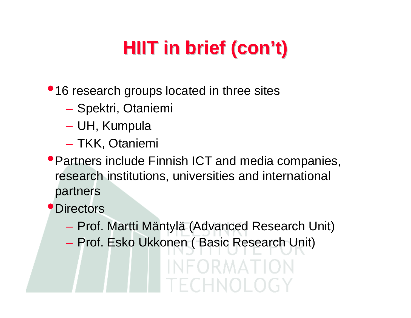# **HIIT in brief (con't)**

•16 research groups located in three sites

- Spektri, Otaniemi
- UH, Kumpula
- TKK, Otaniemi
- •Partners include Finnish ICT and media companies, research institutions, universities and international partners

**Directors** 

- Prof. Martti Mäntylä (Advanced Research Unit)
- Prof. Esko Ukkonen ( Basic Research Unit)

INFORMATION EECHNOLOGY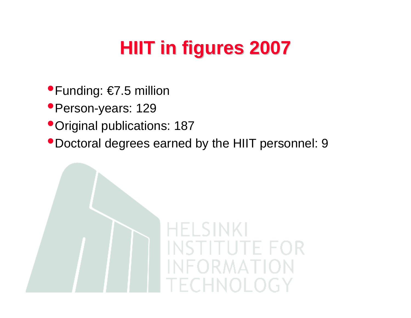# **HIIT in figures 2007 in figures 2007**

- •Funding: €7.5 million
- •Person-years: 129
- •Original publications: 187
- •Doctoral degrees earned by the HIIT personnel: 9

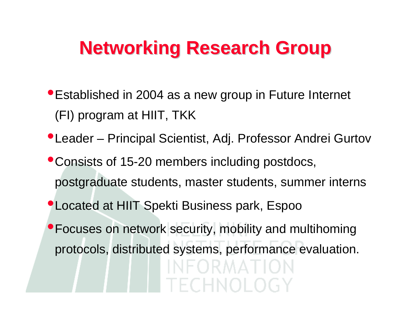### **Networking Research Group**

- •Established in 2004 as a new group in Future Internet (FI) program at HIIT, TKK
- •Leader Principal Scientist, Adj. Professor Andrei Gurtov
- •Consists of 15-20 members including postdocs, postgraduate students, master students, summer interns
- •Located at HIIT Spekti Business park, Espoo
- •Focuses on network security, mobility and multihoming protocols, distributed systems, performance evaluation.IFORMATION ECHNOL.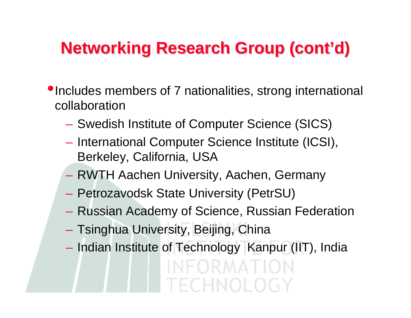#### **Networking Research Group (cont'd)**

- •Includes members of 7 nationalities, strong international collaboration
	- Swedish Institute of Computer Science (SICS)
	- International Computer Science Institute (ICSI), Berkeley, California, USA
	- RWTH Aachen University, Aachen, Germany
	- Petrozavodsk State University (PetrSU)
	- Russian Academy of Science, Russian Federation
	- Tsinghua University, Beijing, China
	- Indian Institute of Technology Kanpur (IIT), IndiaINFORMATION TECHNOLOGY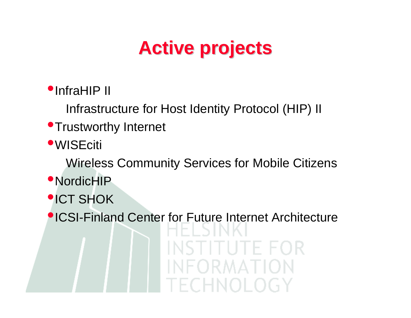# **Active projects Active projects**

#### •InfraHIP II

Infrastructure for Host Identity Protocol (HIP) II

#### **•Trustworthy Internet**

**•WISEciti** 

Wireless Community Services for Mobile Citizens

- •NordicHIP
- •ICT SHOK

•ICSI-Finland Center for Future Internet Architecture

UTE FOR RMA LION CHNOLOGY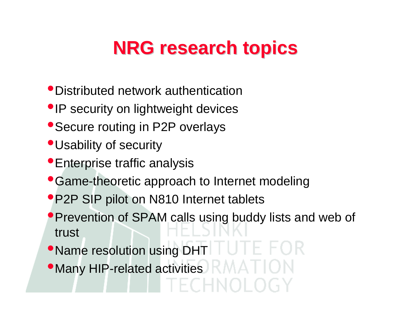## **NRG research topics NRG research topics**

- •Distributed network authentication
- IP security on lightweight devices
- Secure routing in P2P overlays
- •Usability of security
- •Enterprise traffic analysis
- Game-theoretic approach to Internet modeling
- •P2P SIP pilot on N810 Internet tablets
- **Prevention of SPAM calls using buddy lists and web of** trust
- •Name resolution using DHT
- •Many HIP-related activities  $\blacksquare$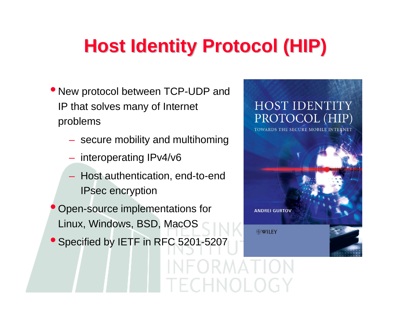# **Host Identity Protocol (HIP)**

≀ MA II

- New protocol between TCP-UDP and IP that solves many of Internet problems
	- secure mobility and multihoming
	- interoperating IPv4/v6
	- Host authentication, end-to-end IPsec encryption
- Open-source implementations for Linux, Windows, BSD, MacOS
- **Specified by IETF in RFC 5201-5207**